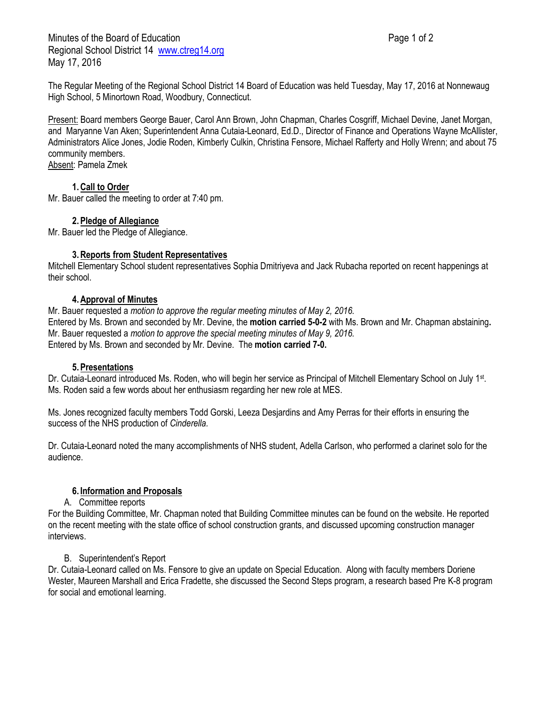Minutes of the Board of Education **Page 1 of 2** and 2 Regional School District 14 [www.ctreg14.org](http://www.ctreg14.org/) May 17, 2016

The Regular Meeting of the Regional School District 14 Board of Education was held Tuesday, May 17, 2016 at Nonnewaug High School, 5 Minortown Road, Woodbury, Connecticut.

Present: Board members George Bauer, Carol Ann Brown, John Chapman, Charles Cosgriff, Michael Devine, Janet Morgan, and Maryanne Van Aken; Superintendent Anna Cutaia-Leonard, Ed.D., Director of Finance and Operations Wayne McAllister, Administrators Alice Jones, Jodie Roden, Kimberly Culkin, Christina Fensore, Michael Rafferty and Holly Wrenn; and about 75 community members.

Absent: Pamela Zmek

# **1.Call to Order**

Mr. Bauer called the meeting to order at 7:40 pm.

# **2.Pledge of Allegiance**

Mr. Bauer led the Pledge of Allegiance.

### **3.Reports from Student Representatives**

Mitchell Elementary School student representatives Sophia Dmitriyeva and Jack Rubacha reported on recent happenings at their school.

### **4.Approval of Minutes**

Mr. Bauer requested a *motion to approve the regular meeting minutes of May 2, 2016.* Entered by Ms. Brown and seconded by Mr. Devine, the **motion carried 5-0-2** with Ms. Brown and Mr. Chapman abstaining**.** Mr. Bauer requested a *motion to approve the special meeting minutes of May 9, 2016.*  Entered by Ms. Brown and seconded by Mr. Devine. The **motion carried 7-0.**

#### **5.Presentations**

Dr. Cutaia-Leonard introduced Ms. Roden, who will begin her service as Principal of Mitchell Elementary School on July 1<sup>st</sup>. Ms. Roden said a few words about her enthusiasm regarding her new role at MES.

Ms. Jones recognized faculty members Todd Gorski, Leeza Desjardins and Amy Perras for their efforts in ensuring the success of the NHS production of *Cinderella.*

Dr. Cutaia-Leonard noted the many accomplishments of NHS student, Adella Carlson, who performed a clarinet solo for the audience.

# **6. Information and Proposals**

# A. Committee reports

For the Building Committee, Mr. Chapman noted that Building Committee minutes can be found on the website. He reported on the recent meeting with the state office of school construction grants, and discussed upcoming construction manager interviews.

# B. Superintendent's Report

Dr. Cutaia-Leonard called on Ms. Fensore to give an update on Special Education. Along with faculty members Doriene Wester, Maureen Marshall and Erica Fradette, she discussed the Second Steps program, a research based Pre K-8 program for social and emotional learning.